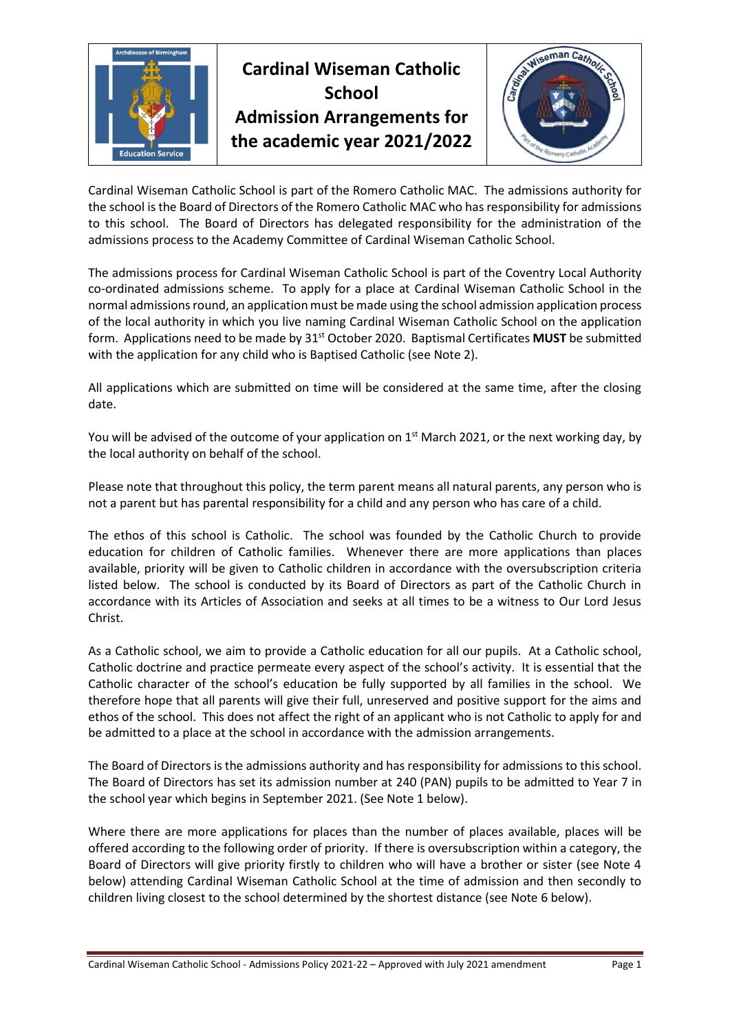

Cardinal Wiseman Catholic School is part of the Romero Catholic MAC. The admissions authority for the school is the Board of Directors of the Romero Catholic MAC who has responsibility for admissions to this school. The Board of Directors has delegated responsibility for the administration of the admissions process to the Academy Committee of Cardinal Wiseman Catholic School.

The admissions process for Cardinal Wiseman Catholic School is part of the Coventry Local Authority co-ordinated admissions scheme. To apply for a place at Cardinal Wiseman Catholic School in the normal admissions round, an application must be made using the school admission application process of the local authority in which you live naming Cardinal Wiseman Catholic School on the application form. Applications need to be made by 31st October 2020. Baptismal Certificates **MUST** be submitted with the application for any child who is Baptised Catholic (see Note 2).

All applications which are submitted on time will be considered at the same time, after the closing date.

You will be advised of the outcome of your application on 1<sup>st</sup> March 2021, or the next working day, by the local authority on behalf of the school.

Please note that throughout this policy, the term parent means all natural parents, any person who is not a parent but has parental responsibility for a child and any person who has care of a child.

The ethos of this school is Catholic. The school was founded by the Catholic Church to provide education for children of Catholic families. Whenever there are more applications than places available, priority will be given to Catholic children in accordance with the oversubscription criteria listed below. The school is conducted by its Board of Directors as part of the Catholic Church in accordance with its Articles of Association and seeks at all times to be a witness to Our Lord Jesus Christ.

As a Catholic school, we aim to provide a Catholic education for all our pupils. At a Catholic school, Catholic doctrine and practice permeate every aspect of the school's activity. It is essential that the Catholic character of the school's education be fully supported by all families in the school. We therefore hope that all parents will give their full, unreserved and positive support for the aims and ethos of the school. This does not affect the right of an applicant who is not Catholic to apply for and be admitted to a place at the school in accordance with the admission arrangements.

The Board of Directors is the admissions authority and has responsibility for admissions to this school. The Board of Directors has set its admission number at 240 (PAN) pupils to be admitted to Year 7 in the school year which begins in September 2021. (See Note 1 below).

Where there are more applications for places than the number of places available, places will be offered according to the following order of priority. If there is oversubscription within a category, the Board of Directors will give priority firstly to children who will have a brother or sister (see Note 4 below) attending Cardinal Wiseman Catholic School at the time of admission and then secondly to children living closest to the school determined by the shortest distance (see Note 6 below).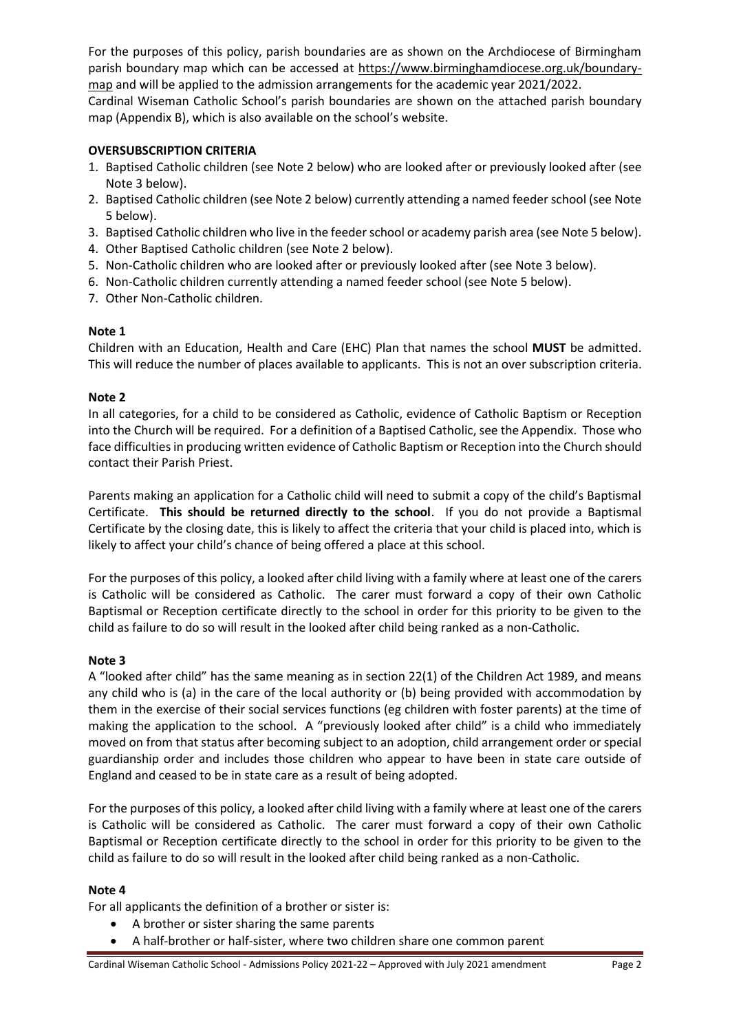For the purposes of this policy, parish boundaries are as shown on the Archdiocese of Birmingham parish boundary map which can be accessed at [https://www.birminghamdiocese.org.uk/boundary](https://www.birminghamdiocese.org.uk/boundary-map)[map](https://www.birminghamdiocese.org.uk/boundary-map) and will be applied to the admission arrangements for the academic year 2021/2022. Cardinal Wiseman Catholic School's parish boundaries are shown on the attached parish boundary

map (Appendix B), which is also available on the school's website.

#### **OVERSUBSCRIPTION CRITERIA**

- 1. Baptised Catholic children (see Note 2 below) who are looked after or previously looked after (see Note 3 below).
- 2. Baptised Catholic children (see Note 2 below) currently attending a named feeder school (see Note 5 below).
- 3. Baptised Catholic children who live in the feeder school or academy parish area (see Note 5 below).
- 4. Other Baptised Catholic children (see Note 2 below).
- 5. Non-Catholic children who are looked after or previously looked after (see Note 3 below).
- 6. Non-Catholic children currently attending a named feeder school (see Note 5 below).
- 7. Other Non-Catholic children.

## **Note 1**

Children with an Education, Health and Care (EHC) Plan that names the school **MUST** be admitted. This will reduce the number of places available to applicants. This is not an over subscription criteria.

## **Note 2**

In all categories, for a child to be considered as Catholic, evidence of Catholic Baptism or Reception into the Church will be required. For a definition of a Baptised Catholic, see the Appendix. Those who face difficulties in producing written evidence of Catholic Baptism or Reception into the Church should contact their Parish Priest.

Parents making an application for a Catholic child will need to submit a copy of the child's Baptismal Certificate. **This should be returned directly to the school**. If you do not provide a Baptismal Certificate by the closing date, this is likely to affect the criteria that your child is placed into, which is likely to affect your child's chance of being offered a place at this school.

For the purposes of this policy, a looked after child living with a family where at least one of the carers is Catholic will be considered as Catholic. The carer must forward a copy of their own Catholic Baptismal or Reception certificate directly to the school in order for this priority to be given to the child as failure to do so will result in the looked after child being ranked as a non-Catholic.

#### **Note 3**

A "looked after child" has the same meaning as in section 22(1) of the Children Act 1989, and means any child who is (a) in the care of the local authority or (b) being provided with accommodation by them in the exercise of their social services functions (eg children with foster parents) at the time of making the application to the school. A "previously looked after child" is a child who immediately moved on from that status after becoming subject to an adoption, child arrangement order or special guardianship order and includes those children who appear to have been in state care outside of England and ceased to be in state care as a result of being adopted.

For the purposes of this policy, a looked after child living with a family where at least one of the carers is Catholic will be considered as Catholic. The carer must forward a copy of their own Catholic Baptismal or Reception certificate directly to the school in order for this priority to be given to the child as failure to do so will result in the looked after child being ranked as a non-Catholic.

#### **Note 4**

For all applicants the definition of a brother or sister is:

- A brother or sister sharing the same parents
- A half-brother or half-sister, where two children share one common parent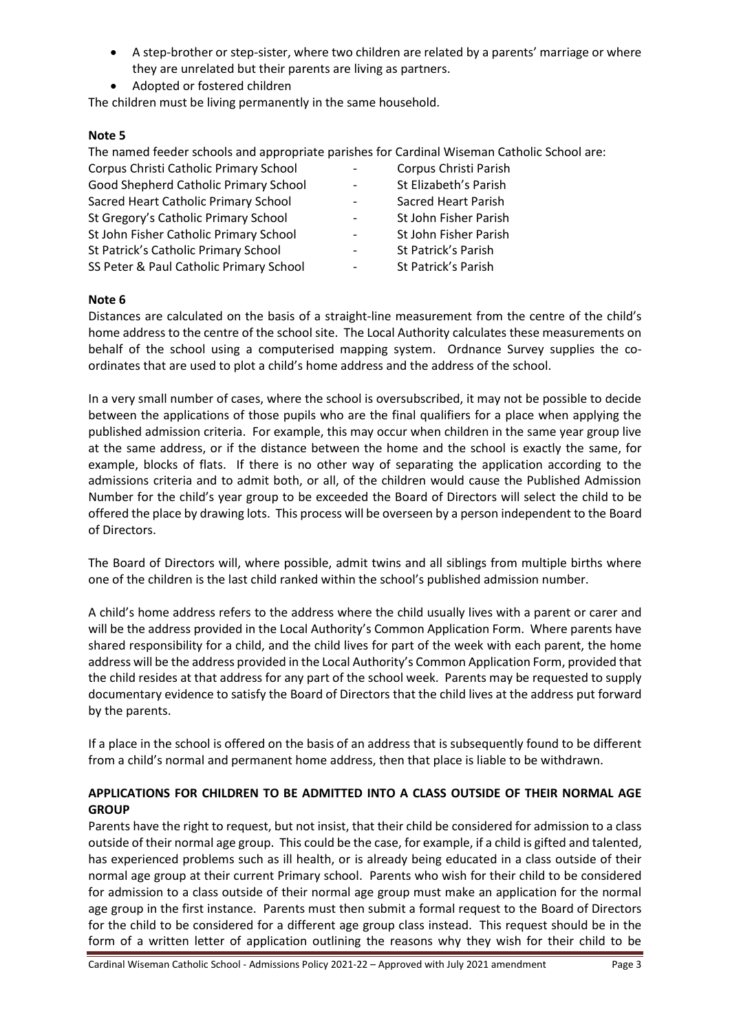- A step-brother or step-sister, where two children are related by a parents' marriage or where they are unrelated but their parents are living as partners.
- Adopted or fostered children

The children must be living permanently in the same household.

## **Note 5**

The named feeder schools and appropriate parishes for Cardinal Wiseman Catholic School are:

| Corpus Christi Catholic Primary School  | $\sim$ $-$               | Corpus Christi Parish      |
|-----------------------------------------|--------------------------|----------------------------|
| Good Shepherd Catholic Primary School   |                          | St Elizabeth's Parish      |
| Sacred Heart Catholic Primary School    | $\overline{\phantom{a}}$ | <b>Sacred Heart Parish</b> |
| St Gregory's Catholic Primary School    | $\blacksquare$           | St John Fisher Parish      |
| St John Fisher Catholic Primary School  | $\sim$                   | St John Fisher Parish      |
| St Patrick's Catholic Primary School    | $\overline{\phantom{a}}$ | St Patrick's Parish        |
| SS Peter & Paul Catholic Primary School | $\overline{\phantom{m}}$ | St Patrick's Parish        |

## **Note 6**

Distances are calculated on the basis of a straight-line measurement from the centre of the child's home address to the centre of the school site. The Local Authority calculates these measurements on behalf of the school using a computerised mapping system. Ordnance Survey supplies the coordinates that are used to plot a child's home address and the address of the school.

In a very small number of cases, where the school is oversubscribed, it may not be possible to decide between the applications of those pupils who are the final qualifiers for a place when applying the published admission criteria. For example, this may occur when children in the same year group live at the same address, or if the distance between the home and the school is exactly the same, for example, blocks of flats. If there is no other way of separating the application according to the admissions criteria and to admit both, or all, of the children would cause the Published Admission Number for the child's year group to be exceeded the Board of Directors will select the child to be offered the place by drawing lots. This process will be overseen by a person independent to the Board of Directors.

The Board of Directors will, where possible, admit twins and all siblings from multiple births where one of the children is the last child ranked within the school's published admission number.

A child's home address refers to the address where the child usually lives with a parent or carer and will be the address provided in the Local Authority's Common Application Form. Where parents have shared responsibility for a child, and the child lives for part of the week with each parent, the home address will be the address provided in the Local Authority's Common Application Form, provided that the child resides at that address for any part of the school week. Parents may be requested to supply documentary evidence to satisfy the Board of Directors that the child lives at the address put forward by the parents.

If a place in the school is offered on the basis of an address that is subsequently found to be different from a child's normal and permanent home address, then that place is liable to be withdrawn.

# **APPLICATIONS FOR CHILDREN TO BE ADMITTED INTO A CLASS OUTSIDE OF THEIR NORMAL AGE GROUP**

Parents have the right to request, but not insist, that their child be considered for admission to a class outside of their normal age group. This could be the case, for example, if a child is gifted and talented, has experienced problems such as ill health, or is already being educated in a class outside of their normal age group at their current Primary school. Parents who wish for their child to be considered for admission to a class outside of their normal age group must make an application for the normal age group in the first instance. Parents must then submit a formal request to the Board of Directors for the child to be considered for a different age group class instead. This request should be in the form of a written letter of application outlining the reasons why they wish for their child to be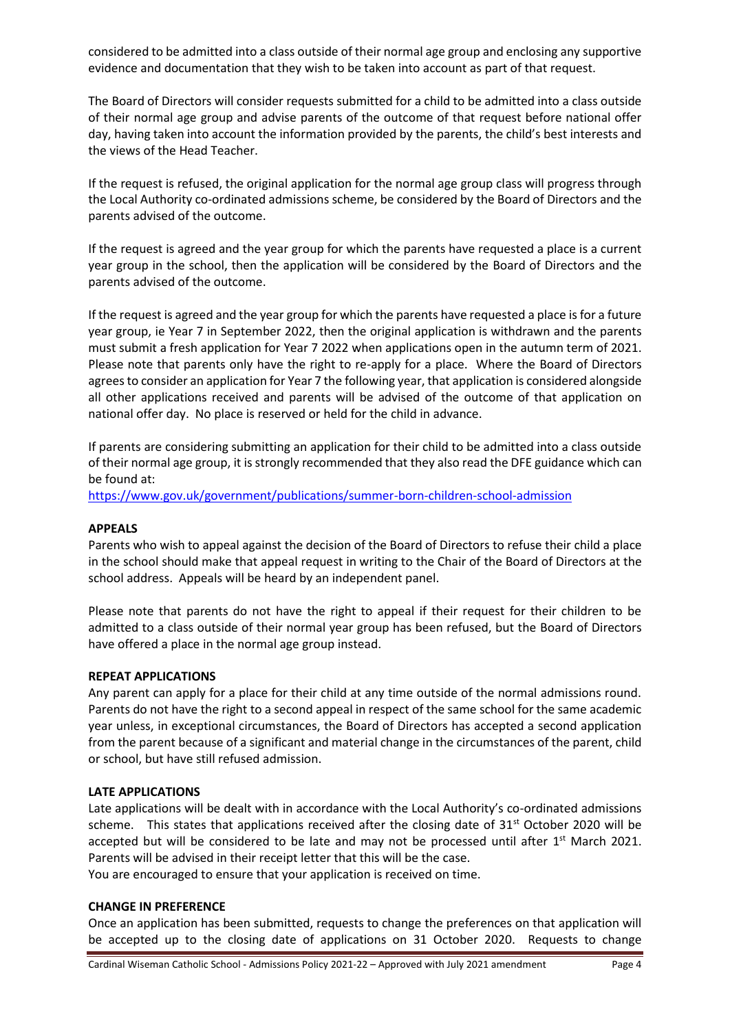considered to be admitted into a class outside of their normal age group and enclosing any supportive evidence and documentation that they wish to be taken into account as part of that request.

The Board of Directors will consider requests submitted for a child to be admitted into a class outside of their normal age group and advise parents of the outcome of that request before national offer day, having taken into account the information provided by the parents, the child's best interests and the views of the Head Teacher.

If the request is refused, the original application for the normal age group class will progress through the Local Authority co-ordinated admissions scheme, be considered by the Board of Directors and the parents advised of the outcome.

If the request is agreed and the year group for which the parents have requested a place is a current year group in the school, then the application will be considered by the Board of Directors and the parents advised of the outcome.

If the request is agreed and the year group for which the parents have requested a place is for a future year group, ie Year 7 in September 2022, then the original application is withdrawn and the parents must submit a fresh application for Year 7 2022 when applications open in the autumn term of 2021. Please note that parents only have the right to re-apply for a place. Where the Board of Directors agrees to consider an application for Year 7 the following year, that application is considered alongside all other applications received and parents will be advised of the outcome of that application on national offer day. No place is reserved or held for the child in advance.

If parents are considering submitting an application for their child to be admitted into a class outside of their normal age group, it is strongly recommended that they also read the DFE guidance which can be found at:

<https://www.gov.uk/government/publications/summer-born-children-school-admission>

#### **APPEALS**

Parents who wish to appeal against the decision of the Board of Directors to refuse their child a place in the school should make that appeal request in writing to the Chair of the Board of Directors at the school address. Appeals will be heard by an independent panel.

Please note that parents do not have the right to appeal if their request for their children to be admitted to a class outside of their normal year group has been refused, but the Board of Directors have offered a place in the normal age group instead.

#### **REPEAT APPLICATIONS**

Any parent can apply for a place for their child at any time outside of the normal admissions round. Parents do not have the right to a second appeal in respect of the same school for the same academic year unless, in exceptional circumstances, the Board of Directors has accepted a second application from the parent because of a significant and material change in the circumstances of the parent, child or school, but have still refused admission.

#### **LATE APPLICATIONS**

Late applications will be dealt with in accordance with the Local Authority's co-ordinated admissions scheme. This states that applications received after the closing date of 31<sup>st</sup> October 2020 will be accepted but will be considered to be late and may not be processed until after  $1<sup>st</sup>$  March 2021. Parents will be advised in their receipt letter that this will be the case.

You are encouraged to ensure that your application is received on time.

#### **CHANGE IN PREFERENCE**

Once an application has been submitted, requests to change the preferences on that application will be accepted up to the closing date of applications on 31 October 2020. Requests to change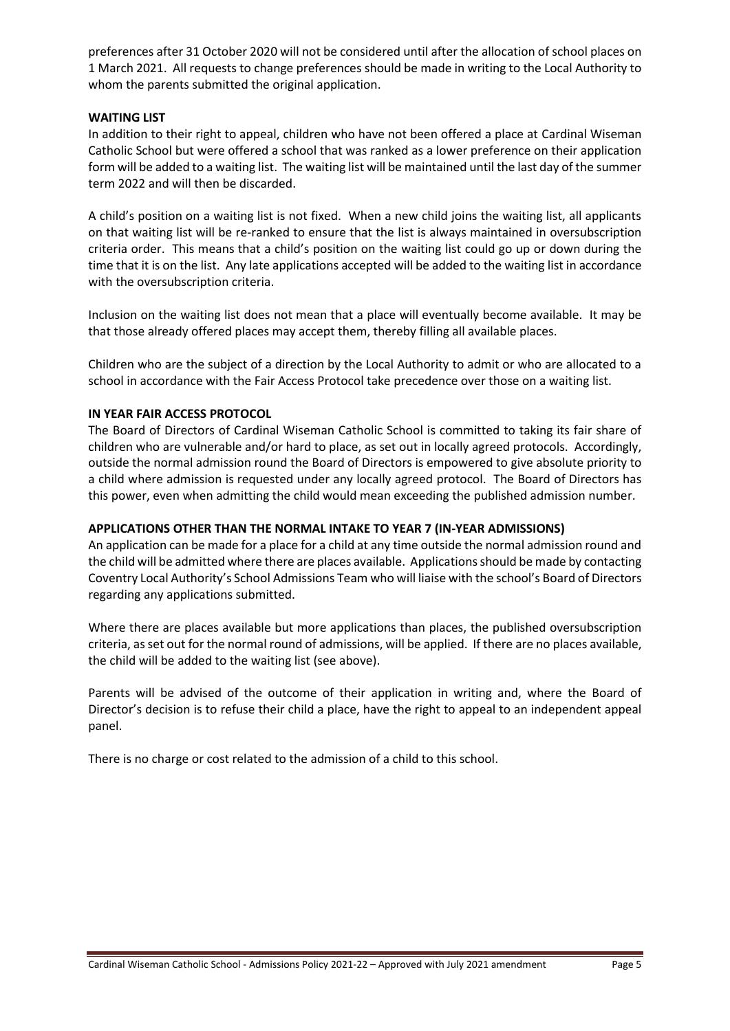preferences after 31 October 2020 will not be considered until after the allocation of school places on 1 March 2021. All requests to change preferences should be made in writing to the Local Authority to whom the parents submitted the original application.

#### **WAITING LIST**

In addition to their right to appeal, children who have not been offered a place at Cardinal Wiseman Catholic School but were offered a school that was ranked as a lower preference on their application form will be added to a waiting list. The waiting list will be maintained until the last day of the summer term 2022 and will then be discarded.

A child's position on a waiting list is not fixed. When a new child joins the waiting list, all applicants on that waiting list will be re-ranked to ensure that the list is always maintained in oversubscription criteria order. This means that a child's position on the waiting list could go up or down during the time that it is on the list. Any late applications accepted will be added to the waiting list in accordance with the oversubscription criteria.

Inclusion on the waiting list does not mean that a place will eventually become available. It may be that those already offered places may accept them, thereby filling all available places.

Children who are the subject of a direction by the Local Authority to admit or who are allocated to a school in accordance with the Fair Access Protocol take precedence over those on a waiting list.

## **IN YEAR FAIR ACCESS PROTOCOL**

The Board of Directors of Cardinal Wiseman Catholic School is committed to taking its fair share of children who are vulnerable and/or hard to place, as set out in locally agreed protocols. Accordingly, outside the normal admission round the Board of Directors is empowered to give absolute priority to a child where admission is requested under any locally agreed protocol. The Board of Directors has this power, even when admitting the child would mean exceeding the published admission number.

# **APPLICATIONS OTHER THAN THE NORMAL INTAKE TO YEAR 7 (IN-YEAR ADMISSIONS)**

An application can be made for a place for a child at any time outside the normal admission round and the child will be admitted where there are places available. Applications should be made by contacting Coventry Local Authority's School Admissions Team who will liaise with the school's Board of Directors regarding any applications submitted.

Where there are places available but more applications than places, the published oversubscription criteria, as set out for the normal round of admissions, will be applied. If there are no places available, the child will be added to the waiting list (see above).

Parents will be advised of the outcome of their application in writing and, where the Board of Director's decision is to refuse their child a place, have the right to appeal to an independent appeal panel.

There is no charge or cost related to the admission of a child to this school.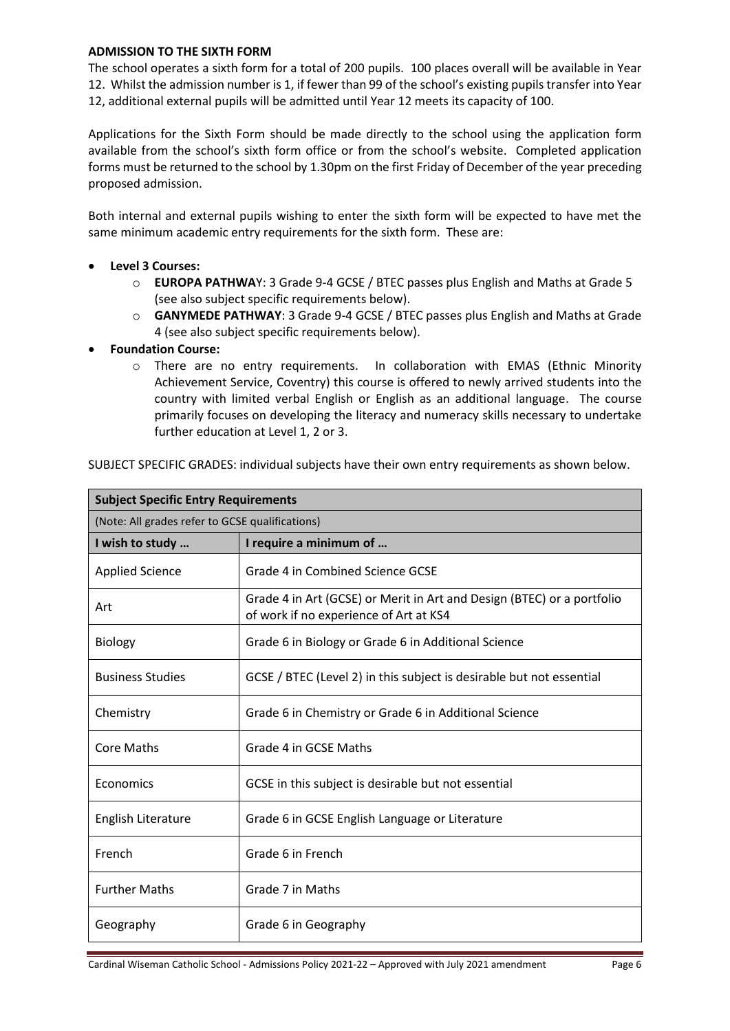#### **ADMISSION TO THE SIXTH FORM**

The school operates a sixth form for a total of 200 pupils. 100 places overall will be available in Year 12. Whilst the admission number is 1, if fewer than 99 of the school's existing pupils transfer into Year 12, additional external pupils will be admitted until Year 12 meets its capacity of 100.

Applications for the Sixth Form should be made directly to the school using the application form available from the school's sixth form office or from the school's website. Completed application forms must be returned to the school by 1.30pm on the first Friday of December of the year preceding proposed admission.

Both internal and external pupils wishing to enter the sixth form will be expected to have met the same minimum academic entry requirements for the sixth form. These are:

- **Level 3 Courses:**
	- o **EUROPA PATHWA**Y: 3 Grade 9-4 GCSE / BTEC passes plus English and Maths at Grade 5 (see also subject specific requirements below).
	- o **GANYMEDE PATHWAY**: 3 Grade 9-4 GCSE / BTEC passes plus English and Maths at Grade 4 (see also subject specific requirements below).
- **Foundation Course:**
	- o There are no entry requirements. In collaboration with EMAS (Ethnic Minority Achievement Service, Coventry) this course is offered to newly arrived students into the country with limited verbal English or English as an additional language. The course primarily focuses on developing the literacy and numeracy skills necessary to undertake further education at Level 1, 2 or 3.

| SUBJECT SPECIFIC GRADES: individual subjects have their own entry requirements as shown below. |  |
|------------------------------------------------------------------------------------------------|--|
|------------------------------------------------------------------------------------------------|--|

| <b>Subject Specific Entry Requirements</b>      |                                                                                                                  |  |
|-------------------------------------------------|------------------------------------------------------------------------------------------------------------------|--|
| (Note: All grades refer to GCSE qualifications) |                                                                                                                  |  |
| I wish to study                                 | I require a minimum of                                                                                           |  |
| Applied Science                                 | Grade 4 in Combined Science GCSE                                                                                 |  |
| Art                                             | Grade 4 in Art (GCSE) or Merit in Art and Design (BTEC) or a portfolio<br>of work if no experience of Art at KS4 |  |
| <b>Biology</b>                                  | Grade 6 in Biology or Grade 6 in Additional Science                                                              |  |
| <b>Business Studies</b>                         | GCSE / BTEC (Level 2) in this subject is desirable but not essential                                             |  |
| Chemistry                                       | Grade 6 in Chemistry or Grade 6 in Additional Science                                                            |  |
| <b>Core Maths</b>                               | Grade 4 in GCSE Maths                                                                                            |  |
| Economics                                       | GCSE in this subject is desirable but not essential                                                              |  |
| English Literature                              | Grade 6 in GCSE English Language or Literature                                                                   |  |
| French                                          | Grade 6 in French                                                                                                |  |
| <b>Further Maths</b>                            | Grade 7 in Maths                                                                                                 |  |
| Geography                                       | Grade 6 in Geography                                                                                             |  |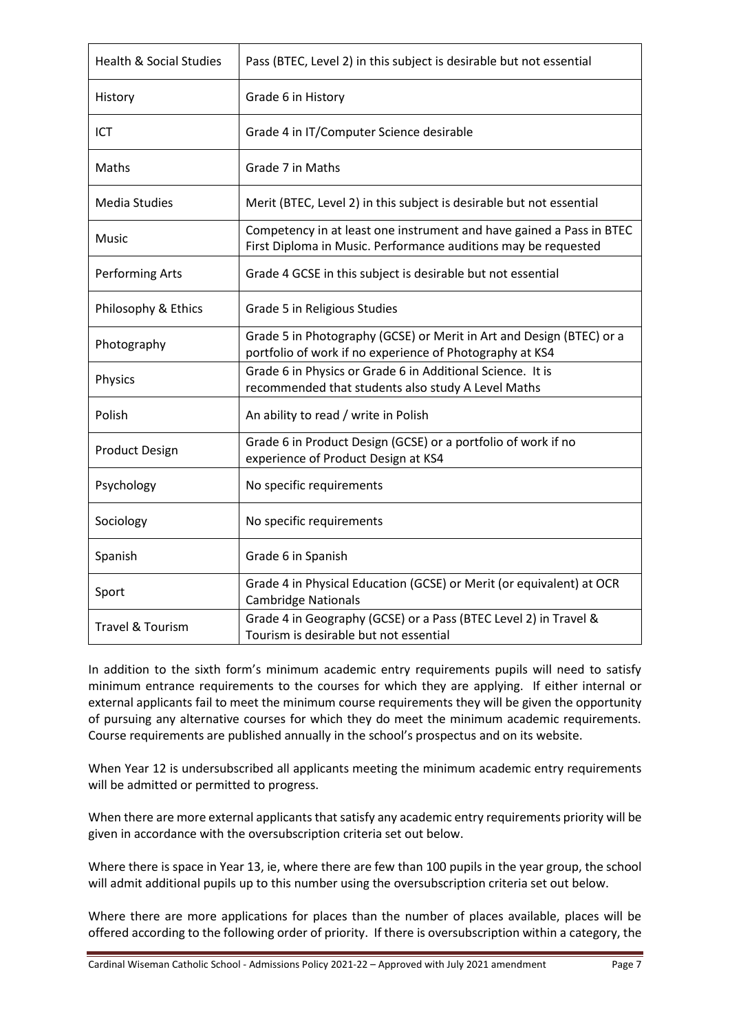| <b>Health &amp; Social Studies</b> | Pass (BTEC, Level 2) in this subject is desirable but not essential                                                                    |
|------------------------------------|----------------------------------------------------------------------------------------------------------------------------------------|
| History                            | Grade 6 in History                                                                                                                     |
| <b>ICT</b>                         | Grade 4 in IT/Computer Science desirable                                                                                               |
| Maths                              | Grade 7 in Maths                                                                                                                       |
| <b>Media Studies</b>               | Merit (BTEC, Level 2) in this subject is desirable but not essential                                                                   |
| Music                              | Competency in at least one instrument and have gained a Pass in BTEC<br>First Diploma in Music. Performance auditions may be requested |
| Performing Arts                    | Grade 4 GCSE in this subject is desirable but not essential                                                                            |
| Philosophy & Ethics                | Grade 5 in Religious Studies                                                                                                           |
| Photography                        | Grade 5 in Photography (GCSE) or Merit in Art and Design (BTEC) or a<br>portfolio of work if no experience of Photography at KS4       |
| Physics                            | Grade 6 in Physics or Grade 6 in Additional Science. It is<br>recommended that students also study A Level Maths                       |
| Polish                             | An ability to read / write in Polish                                                                                                   |
| <b>Product Design</b>              | Grade 6 in Product Design (GCSE) or a portfolio of work if no<br>experience of Product Design at KS4                                   |
| Psychology                         | No specific requirements                                                                                                               |
| Sociology                          | No specific requirements                                                                                                               |
| Spanish                            | Grade 6 in Spanish                                                                                                                     |
| Sport                              | Grade 4 in Physical Education (GCSE) or Merit (or equivalent) at OCR<br><b>Cambridge Nationals</b>                                     |
| <b>Travel &amp; Tourism</b>        | Grade 4 in Geography (GCSE) or a Pass (BTEC Level 2) in Travel &<br>Tourism is desirable but not essential                             |

In addition to the sixth form's minimum academic entry requirements pupils will need to satisfy minimum entrance requirements to the courses for which they are applying. If either internal or external applicants fail to meet the minimum course requirements they will be given the opportunity of pursuing any alternative courses for which they do meet the minimum academic requirements. Course requirements are published annually in the school's prospectus and on its website.

When Year 12 is undersubscribed all applicants meeting the minimum academic entry requirements will be admitted or permitted to progress.

When there are more external applicants that satisfy any academic entry requirements priority will be given in accordance with the oversubscription criteria set out below.

Where there is space in Year 13, ie, where there are few than 100 pupils in the year group, the school will admit additional pupils up to this number using the oversubscription criteria set out below.

Where there are more applications for places than the number of places available, places will be offered according to the following order of priority. If there is oversubscription within a category, the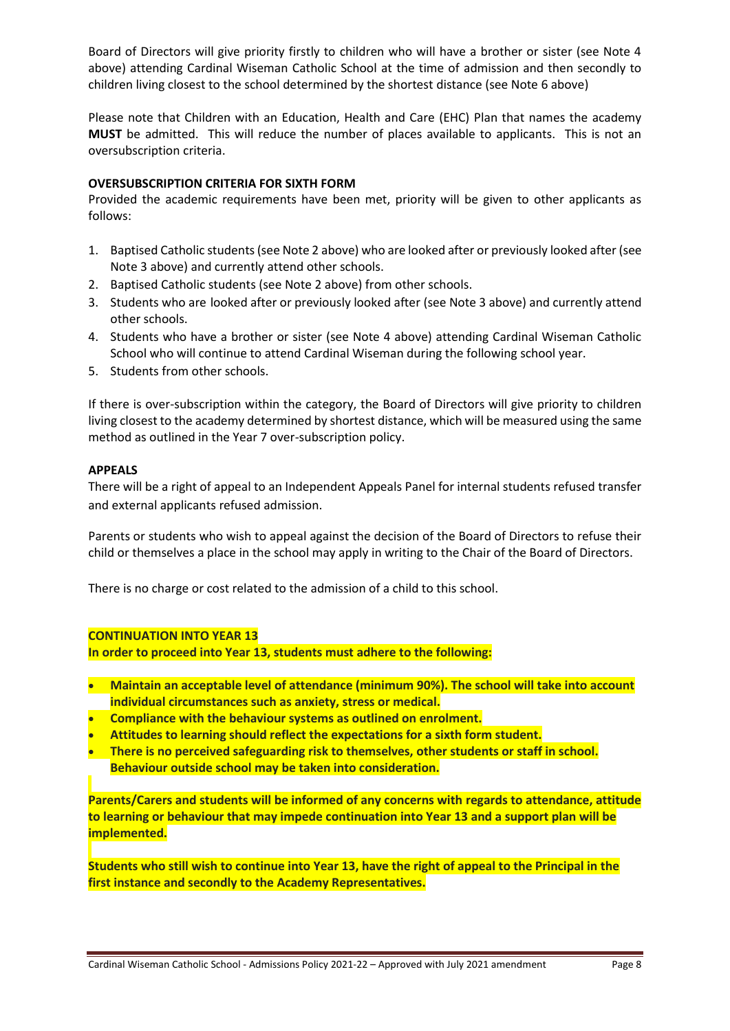Board of Directors will give priority firstly to children who will have a brother or sister (see Note 4 above) attending Cardinal Wiseman Catholic School at the time of admission and then secondly to children living closest to the school determined by the shortest distance (see Note 6 above)

Please note that Children with an Education, Health and Care (EHC) Plan that names the academy **MUST** be admitted. This will reduce the number of places available to applicants. This is not an oversubscription criteria.

#### **OVERSUBSCRIPTION CRITERIA FOR SIXTH FORM**

Provided the academic requirements have been met, priority will be given to other applicants as follows:

- 1. Baptised Catholic students (see Note 2 above) who are looked after or previously looked after (see Note 3 above) and currently attend other schools.
- 2. Baptised Catholic students (see Note 2 above) from other schools.
- 3. Students who are looked after or previously looked after (see Note 3 above) and currently attend other schools.
- 4. Students who have a brother or sister (see Note 4 above) attending Cardinal Wiseman Catholic School who will continue to attend Cardinal Wiseman during the following school year.
- 5. Students from other schools.

If there is over-subscription within the category, the Board of Directors will give priority to children living closest to the academy determined by shortest distance, which will be measured using the same method as outlined in the Year 7 over-subscription policy.

#### **APPEALS**

There will be a right of appeal to an Independent Appeals Panel for internal students refused transfer and external applicants refused admission.

Parents or students who wish to appeal against the decision of the Board of Directors to refuse their child or themselves a place in the school may apply in writing to the Chair of the Board of Directors.

There is no charge or cost related to the admission of a child to this school.

#### **CONTINUATION INTO YEAR 13**

**In order to proceed into Year 13, students must adhere to the following:**

- **Maintain an acceptable level of attendance (minimum 90%). The school will take into account individual circumstances such as anxiety, stress or medical.**
- **Compliance with the behaviour systems as outlined on enrolment.**
- **Attitudes to learning should reflect the expectations for a sixth form student.**
- **There is no perceived safeguarding risk to themselves, other students or staff in school. Behaviour outside school may be taken into consideration.**
	-

**Parents/Carers and students will be informed of any concerns with regards to attendance, attitude to learning or behaviour that may impede continuation into Year 13 and a support plan will be implemented.**

**Students who still wish to continue into Year 13, have the right of appeal to the Principal in the first instance and secondly to the Academy Representatives.**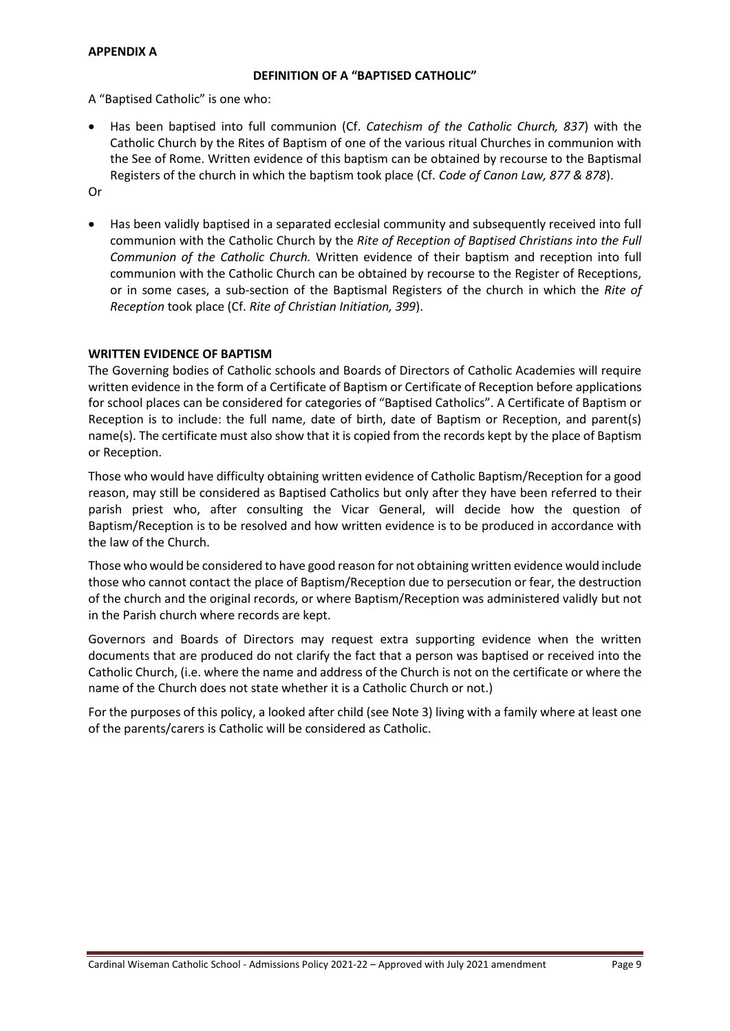#### **APPENDIX A**

#### **DEFINITION OF A "BAPTISED CATHOLIC"**

A "Baptised Catholic" is one who:

• Has been baptised into full communion (Cf. *Catechism of the Catholic Church, 837*) with the Catholic Church by the Rites of Baptism of one of the various ritual Churches in communion with the See of Rome. Written evidence of this baptism can be obtained by recourse to the Baptismal Registers of the church in which the baptism took place (Cf. *Code of Canon Law, 877 & 878*).

Or

• Has been validly baptised in a separated ecclesial community and subsequently received into full communion with the Catholic Church by the *Rite of Reception of Baptised Christians into the Full Communion of the Catholic Church.* Written evidence of their baptism and reception into full communion with the Catholic Church can be obtained by recourse to the Register of Receptions, or in some cases, a sub-section of the Baptismal Registers of the church in which the *Rite of Reception* took place (Cf. *Rite of Christian Initiation, 399*).

#### **WRITTEN EVIDENCE OF BAPTISM**

The Governing bodies of Catholic schools and Boards of Directors of Catholic Academies will require written evidence in the form of a Certificate of Baptism or Certificate of Reception before applications for school places can be considered for categories of "Baptised Catholics". A Certificate of Baptism or Reception is to include: the full name, date of birth, date of Baptism or Reception, and parent(s) name(s). The certificate must also show that it is copied from the records kept by the place of Baptism or Reception.

Those who would have difficulty obtaining written evidence of Catholic Baptism/Reception for a good reason, may still be considered as Baptised Catholics but only after they have been referred to their parish priest who, after consulting the Vicar General, will decide how the question of Baptism/Reception is to be resolved and how written evidence is to be produced in accordance with the law of the Church.

Those who would be considered to have good reason for not obtaining written evidence would include those who cannot contact the place of Baptism/Reception due to persecution or fear, the destruction of the church and the original records, or where Baptism/Reception was administered validly but not in the Parish church where records are kept.

Governors and Boards of Directors may request extra supporting evidence when the written documents that are produced do not clarify the fact that a person was baptised or received into the Catholic Church, (i.e. where the name and address of the Church is not on the certificate or where the name of the Church does not state whether it is a Catholic Church or not.)

For the purposes of this policy, a looked after child (see Note 3) living with a family where at least one of the parents/carers is Catholic will be considered as Catholic.